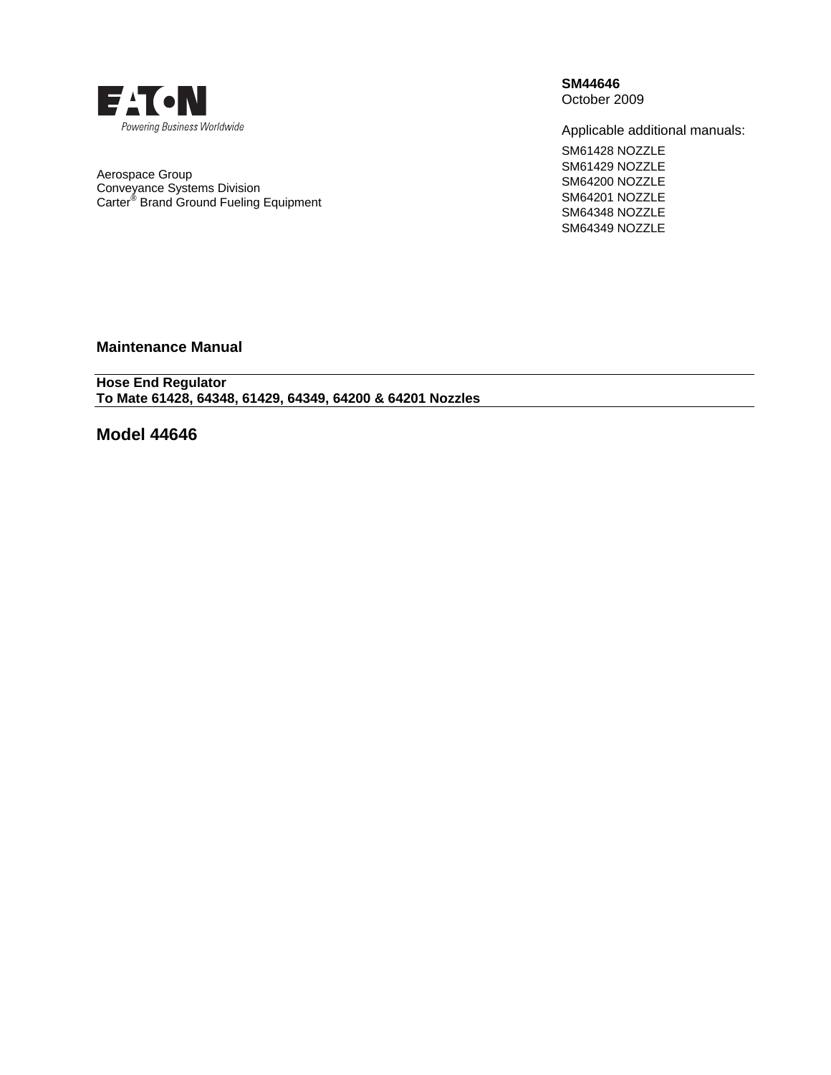

Aerospace Group Conveyance Systems Division Carter® Brand Ground Fueling Equipment **SM44646**  October 2009

Applicable additional manuals:

SM61428 NOZZLE SM61429 NOZZLE SM64200 NOZZLE SM64201 NOZZLE SM64348 NOZZLE SM64349 NOZZLE

**Maintenance Manual** 

**Hose End Regulator To Mate 61428, 64348, 61429, 64349, 64200 & 64201 Nozzles** 

**Model 44646**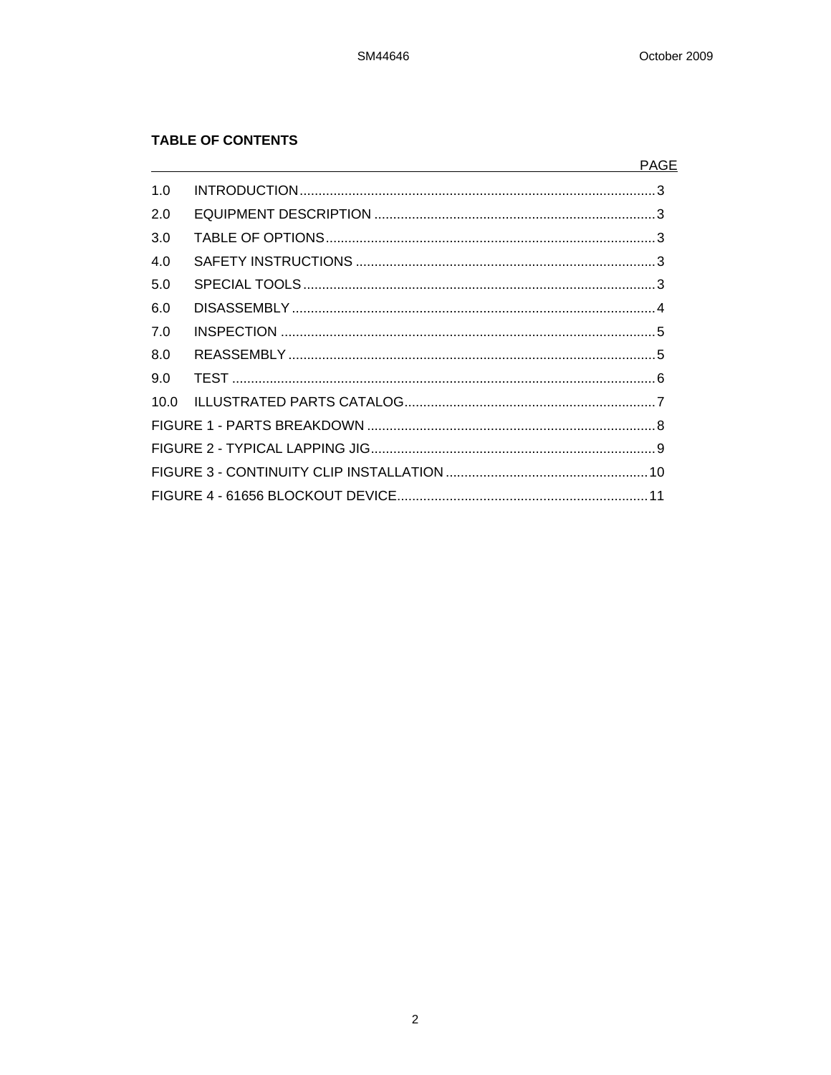# **TABLE OF CONTENTS**

|     | <u> 1989 - Johann Barnett, fransk politiker (d. 1989)</u> | <b>PAGE</b> |
|-----|-----------------------------------------------------------|-------------|
| 1.0 |                                                           |             |
| 2.0 |                                                           |             |
| 3.0 |                                                           |             |
| 4.0 |                                                           |             |
| 5.0 |                                                           |             |
| 6.0 |                                                           |             |
| 7.0 |                                                           |             |
| 8.0 |                                                           |             |
| 9.0 |                                                           |             |
|     |                                                           |             |
|     |                                                           |             |
|     |                                                           |             |
|     |                                                           |             |
|     |                                                           |             |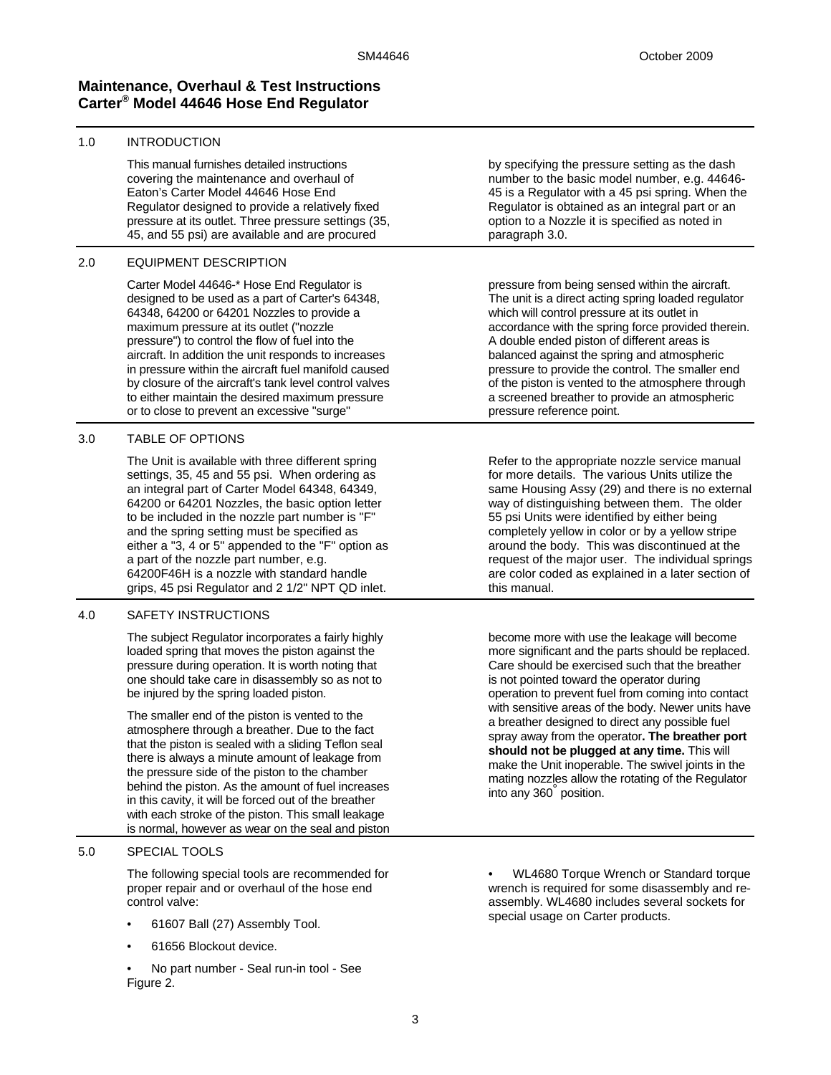# **Maintenance, Overhaul & Test Instructions Carter® Model 44646 Hose End Regulator**

# 1.0 INTRODUCTION

This manual furnishes detailed instructions covering the maintenance and overhaul of Eaton's Carter Model 44646 Hose End Regulator designed to provide a relatively fixed pressure at its outlet. Three pressure settings (35, 45, and 55 psi) are available and are procured

## 2.0 EQUIPMENT DESCRIPTION

Carter Model 44646-\* Hose End Regulator is designed to be used as a part of Carter's 64348, 64348, 64200 or 64201 Nozzles to provide a maximum pressure at its outlet ("nozzle pressure") to control the flow of fuel into the aircraft. In addition the unit responds to increases in pressure within the aircraft fuel manifold caused by closure of the aircraft's tank level control valves to either maintain the desired maximum pressure or to close to prevent an excessive "surge"

# 3.0 TABLE OF OPTIONS

The Unit is available with three different spring settings, 35, 45 and 55 psi. When ordering as an integral part of Carter Model 64348, 64349, 64200 or 64201 Nozzles, the basic option letter to be included in the nozzle part number is "F" and the spring setting must be specified as either a "3, 4 or 5" appended to the "F" option as a part of the nozzle part number, e.g. 64200F46H is a nozzle with standard handle grips, 45 psi Regulator and 2 1/2" NPT QD inlet.

# 4.0 SAFETY INSTRUCTIONS

The subject Regulator incorporates a fairly highly loaded spring that moves the piston against the pressure during operation. It is worth noting that one should take care in disassembly so as not to be injured by the spring loaded piston.

The smaller end of the piston is vented to the atmosphere through a breather. Due to the fact that the piston is sealed with a sliding Teflon seal there is always a minute amount of leakage from the pressure side of the piston to the chamber behind the piston. As the amount of fuel increases in this cavity, it will be forced out of the breather with each stroke of the piston. This small leakage is normal, however as wear on the seal and piston

# 5.0 SPECIAL TOOLS

The following special tools are recommended for proper repair and or overhaul of the hose end control valve:

- 61607 Ball (27) Assembly Tool.
- 61656 Blockout device.
- No part number Seal run-in tool See Figure 2.

by specifying the pressure setting as the dash number to the basic model number, e.g. 44646- 45 is a Regulator with a 45 psi spring. When the Regulator is obtained as an integral part or an option to a Nozzle it is specified as noted in paragraph 3.0.

pressure from being sensed within the aircraft. The unit is a direct acting spring loaded regulator which will control pressure at its outlet in accordance with the spring force provided therein. A double ended piston of different areas is balanced against the spring and atmospheric pressure to provide the control. The smaller end of the piston is vented to the atmosphere through a screened breather to provide an atmospheric pressure reference point.

Refer to the appropriate nozzle service manual for more details. The various Units utilize the same Housing Assy (29) and there is no external way of distinguishing between them. The older 55 psi Units were identified by either being completely yellow in color or by a yellow stripe around the body. This was discontinued at the request of the major user. The individual springs are color coded as explained in a later section of this manual.

become more with use the leakage will become more significant and the parts should be replaced. Care should be exercised such that the breather is not pointed toward the operator during operation to prevent fuel from coming into contact with sensitive areas of the body. Newer units have a breather designed to direct any possible fuel spray away from the operator**. The breather port should not be plugged at any time.** This will make the Unit inoperable. The swivel joints in the mating nozzles allow the rotating of the Regulator into any 360° position.

• WL4680 Torque Wrench or Standard torque wrench is required for some disassembly and reassembly. WL4680 includes several sockets for special usage on Carter products.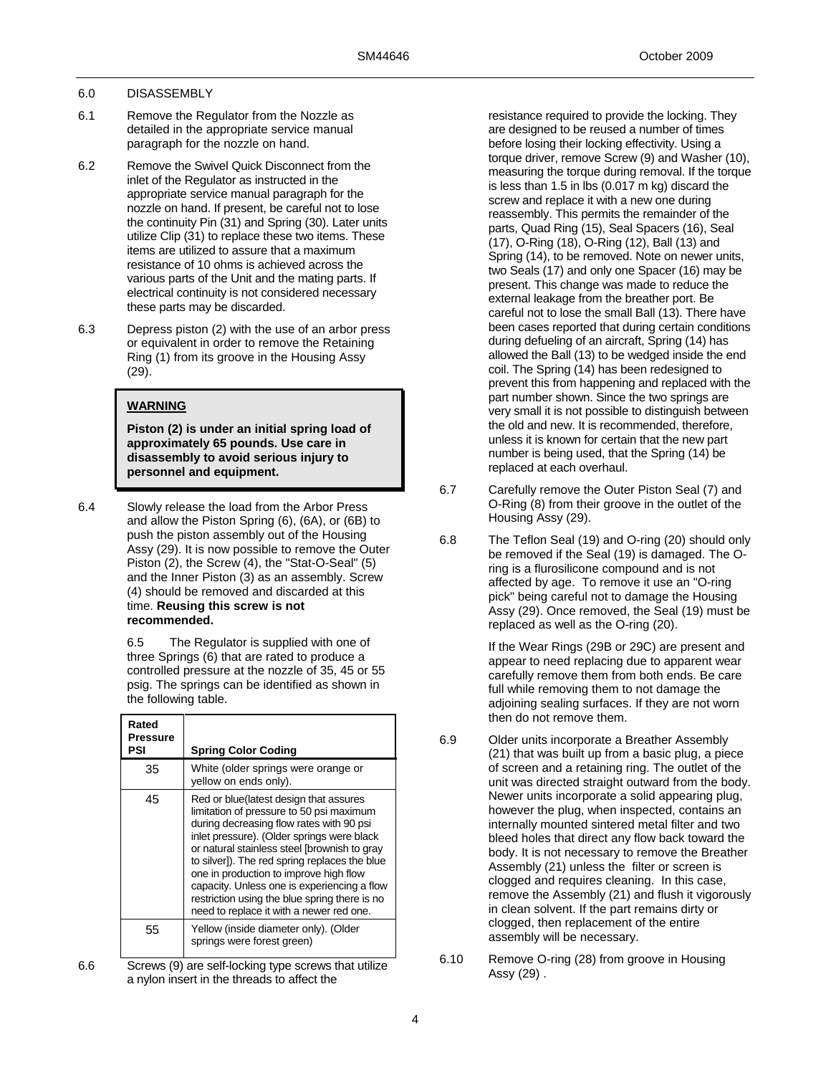#### 6.0 DISASSEMBLY

- 6.1 Remove the Regulator from the Nozzle as detailed in the appropriate service manual paragraph for the nozzle on hand.
- 6.2 Remove the Swivel Quick Disconnect from the inlet of the Regulator as instructed in the appropriate service manual paragraph for the nozzle on hand. If present, be careful not to lose the continuity Pin (31) and Spring (30). Later units utilize Clip (31) to replace these two items. These items are utilized to assure that a maximum resistance of 10 ohms is achieved across the various parts of the Unit and the mating parts. If electrical continuity is not considered necessary these parts may be discarded.
- 6.3 Depress piston (2) with the use of an arbor press or equivalent in order to remove the Retaining Ring (1) from its groove in the Housing Assy (29).

### **WARNING**

**Piston (2) is under an initial spring load of approximately 65 pounds. Use care in disassembly to avoid serious injury to personnel and equipment.** 

6.4 Slowly release the load from the Arbor Press and allow the Piston Spring (6), (6A), or (6B) to push the piston assembly out of the Housing Assy (29). It is now possible to remove the Outer Piston (2), the Screw (4), the "Stat-O-Seal" (5) and the Inner Piston (3) as an assembly. Screw (4) should be removed and discarded at this time. **Reusing this screw is not recommended.**

> 6.5 The Regulator is supplied with one of three Springs (6) that are rated to produce a controlled pressure at the nozzle of 35, 45 or 55 psig. The springs can be identified as shown in the following table.

| Rated<br>Pressure<br>PSI | <b>Spring Color Coding</b>                                                                                                                                                                                                                                                                                                                                                                                                                                          |
|--------------------------|---------------------------------------------------------------------------------------------------------------------------------------------------------------------------------------------------------------------------------------------------------------------------------------------------------------------------------------------------------------------------------------------------------------------------------------------------------------------|
| 35                       | White (older springs were orange or<br>yellow on ends only).                                                                                                                                                                                                                                                                                                                                                                                                        |
| 45                       | Red or blue(latest design that assures<br>limitation of pressure to 50 psi maximum<br>during decreasing flow rates with 90 psi<br>inlet pressure). (Older springs were black<br>or natural stainless steel [brownish to gray<br>to silver]). The red spring replaces the blue<br>one in production to improve high flow<br>capacity. Unless one is experiencing a flow<br>restriction using the blue spring there is no<br>need to replace it with a newer red one. |
| 55                       | Yellow (inside diameter only). (Older<br>springs were forest green)                                                                                                                                                                                                                                                                                                                                                                                                 |

6.6 Screws (9) are self-locking type screws that utilize a nylon insert in the threads to affect the

resistance required to provide the locking. They are designed to be reused a number of times before losing their locking effectivity. Using a torque driver, remove Screw (9) and Washer (10), measuring the torque during removal. If the torque is less than 1.5 in lbs (0.017 m kg) discard the screw and replace it with a new one during reassembly. This permits the remainder of the parts, Quad Ring (15), Seal Spacers (16), Seal (17), O-Ring (18), O-Ring (12), Ball (13) and Spring (14), to be removed. Note on newer units, two Seals (17) and only one Spacer (16) may be present. This change was made to reduce the external leakage from the breather port. Be careful not to lose the small Ball (13). There have been cases reported that during certain conditions during defueling of an aircraft, Spring (14) has allowed the Ball (13) to be wedged inside the end coil. The Spring (14) has been redesigned to prevent this from happening and replaced with the part number shown. Since the two springs are very small it is not possible to distinguish between the old and new. It is recommended, therefore, unless it is known for certain that the new part number is being used, that the Spring (14) be replaced at each overhaul.

- 6.7 Carefully remove the Outer Piston Seal (7) and O-Ring (8) from their groove in the outlet of the Housing Assy (29).
- 6.8 The Teflon Seal (19) and O-ring (20) should only be removed if the Seal (19) is damaged. The Oring is a flurosilicone compound and is not affected by age. To remove it use an "O-ring pick" being careful not to damage the Housing Assy (29). Once removed, the Seal (19) must be replaced as well as the O-ring (20).

If the Wear Rings (29B or 29C) are present and appear to need replacing due to apparent wear carefully remove them from both ends. Be care full while removing them to not damage the adjoining sealing surfaces. If they are not worn then do not remove them.

- 6.9 Older units incorporate a Breather Assembly (21) that was built up from a basic plug, a piece of screen and a retaining ring. The outlet of the unit was directed straight outward from the body. Newer units incorporate a solid appearing plug, however the plug, when inspected, contains an internally mounted sintered metal filter and two bleed holes that direct any flow back toward the body. It is not necessary to remove the Breather Assembly (21) unless the filter or screen is clogged and requires cleaning. In this case, remove the Assembly (21) and flush it vigorously in clean solvent. If the part remains dirty or clogged, then replacement of the entire assembly will be necessary.
- 6.10 Remove O-ring (28) from groove in Housing Assy (29) .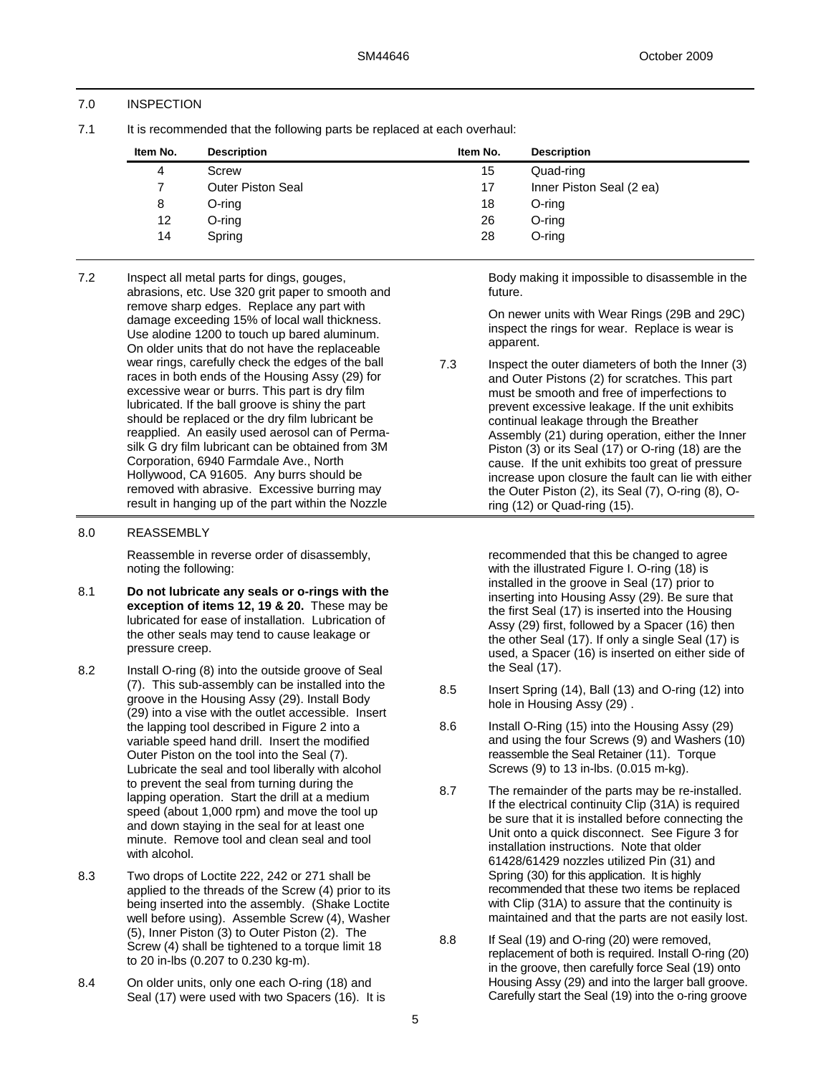# 7.0 INSPECTION

7.1 It is recommended that the following parts be replaced at each overhaul:

| Item No.        | <b>Description</b>       | Item No. | <b>Description</b>       |  |
|-----------------|--------------------------|----------|--------------------------|--|
| 4               | Screw                    | 15       | Quad-ring                |  |
|                 | <b>Outer Piston Seal</b> | 17       | Inner Piston Seal (2 ea) |  |
| 8               | O-ring                   | 18       | O-ring                   |  |
| 12 <sup>°</sup> | O-ring                   | 26       | O-ring                   |  |
| 14              | Spring                   | 28       | O-ring                   |  |
|                 |                          |          |                          |  |

7.2 Inspect all metal parts for dings, gouges, abrasions, etc. Use 320 grit paper to smooth and remove sharp edges. Replace any part with damage exceeding 15% of local wall thickness. Use alodine 1200 to touch up bared aluminum. On older units that do not have the replaceable wear rings, carefully check the edges of the ball races in both ends of the Housing Assy (29) for excessive wear or burrs. This part is dry film lubricated. If the ball groove is shiny the part should be replaced or the dry film lubricant be reapplied. An easily used aerosol can of Permasilk G dry film lubricant can be obtained from 3M Corporation, 6940 Farmdale Ave., North Hollywood, CA 91605. Any burrs should be removed with abrasive. Excessive burring may result in hanging up of the part within the Nozzle

### 8.0 REASSEMBLY

Reassemble in reverse order of disassembly, noting the following:

- 8.1 **Do not lubricate any seals or o-rings with the exception of items 12, 19 & 20.** These may be lubricated for ease of installation. Lubrication of the other seals may tend to cause leakage or pressure creep.
- 8.2 Install O-ring (8) into the outside groove of Seal (7). This sub-assembly can be installed into the groove in the Housing Assy (29). Install Body (29) into a vise with the outlet accessible. Insert the lapping tool described in Figure 2 into a variable speed hand drill. Insert the modified Outer Piston on the tool into the Seal (7). Lubricate the seal and tool liberally with alcohol to prevent the seal from turning during the lapping operation. Start the drill at a medium speed (about 1,000 rpm) and move the tool up and down staying in the seal for at least one minute. Remove tool and clean seal and tool with alcohol.
- 8.3 Two drops of Loctite 222, 242 or 271 shall be applied to the threads of the Screw (4) prior to its being inserted into the assembly. (Shake Loctite well before using). Assemble Screw (4), Washer (5), Inner Piston (3) to Outer Piston (2). The Screw (4) shall be tightened to a torque limit 18 to 20 in-lbs (0.207 to 0.230 kg-m).
- 8.4 On older units, only one each O-ring (18) and Seal (17) were used with two Spacers (16). It is

Body making it impossible to disassemble in the future.

On newer units with Wear Rings (29B and 29C) inspect the rings for wear. Replace is wear is apparent.

7.3 Inspect the outer diameters of both the Inner (3) and Outer Pistons (2) for scratches. This part must be smooth and free of imperfections to prevent excessive leakage. If the unit exhibits continual leakage through the Breather Assembly (21) during operation, either the Inner Piston (3) or its Seal (17) or O-ring (18) are the cause. If the unit exhibits too great of pressure increase upon closure the fault can lie with either the Outer Piston (2), its Seal (7), O-ring (8), Oring (12) or Quad-ring (15).

> recommended that this be changed to agree with the illustrated Figure I. O-ring (18) is installed in the groove in Seal (17) prior to inserting into Housing Assy (29). Be sure that the first Seal (17) is inserted into the Housing Assy (29) first, followed by a Spacer (16) then the other Seal (17). If only a single Seal (17) is used, a Spacer (16) is inserted on either side of the Seal (17).

- 8.5 Insert Spring (14), Ball (13) and O-ring (12) into hole in Housing Assy (29) .
- 8.6 Install O-Ring (15) into the Housing Assy (29) and using the four Screws (9) and Washers (10) reassemble the Seal Retainer (11). Torque Screws (9) to 13 in-lbs. (0.015 m-kg).
- 8.7 The remainder of the parts may be re-installed. If the electrical continuity Clip (31A) is required be sure that it is installed before connecting the Unit onto a quick disconnect. See Figure 3 for installation instructions. Note that older 61428/61429 nozzles utilized Pin (31) and Spring (30) for this application. It is highly recommended that these two items be replaced with Clip (31A) to assure that the continuity is maintained and that the parts are not easily lost.
- 8.8 If Seal (19) and O-ring (20) were removed, replacement of both is required. Install O-ring (20) in the groove, then carefully force Seal (19) onto Housing Assy (29) and into the larger ball groove. Carefully start the Seal (19) into the o-ring groove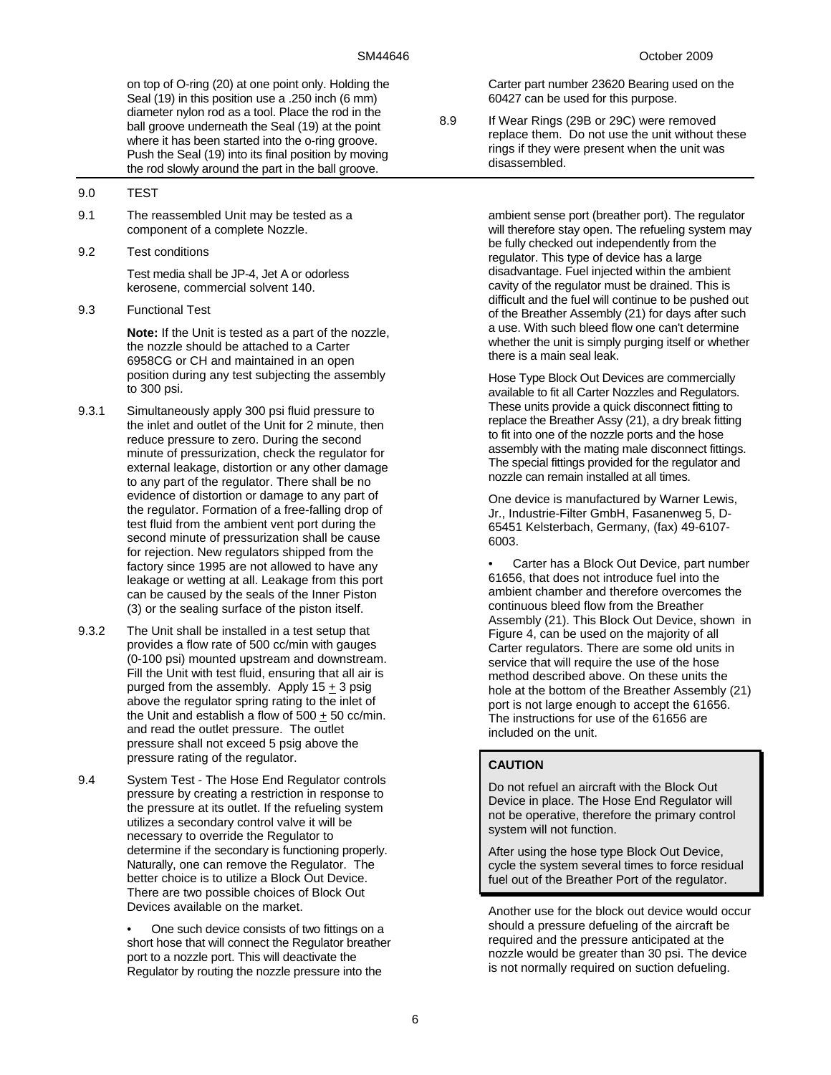on top of O-ring (20) at one point only. Holding the Seal (19) in this position use a .250 inch (6 mm) diameter nylon rod as a tool. Place the rod in the ball groove underneath the Seal (19) at the point where it has been started into the o-ring groove. Push the Seal (19) into its final position by moving the rod slowly around the part in the ball groove.

### 9.0 TEST

- 9.1 The reassembled Unit may be tested as a component of a complete Nozzle.
- 9.2 Test conditions

Test media shall be JP-4, Jet A or odorless kerosene, commercial solvent 140.

9.3 Functional Test

**Note:** If the Unit is tested as a part of the nozzle, the nozzle should be attached to a Carter 6958CG or CH and maintained in an open position during any test subjecting the assembly to 300 psi.

- 9.3.1 Simultaneously apply 300 psi fluid pressure to the inlet and outlet of the Unit for 2 minute, then reduce pressure to zero. During the second minute of pressurization, check the regulator for external leakage, distortion or any other damage to any part of the regulator. There shall be no evidence of distortion or damage to any part of the regulator. Formation of a free-falling drop of test fluid from the ambient vent port during the second minute of pressurization shall be cause for rejection. New regulators shipped from the factory since 1995 are not allowed to have any leakage or wetting at all. Leakage from this port can be caused by the seals of the Inner Piston (3) or the sealing surface of the piston itself.
- 9.3.2 The Unit shall be installed in a test setup that provides a flow rate of 500 cc/min with gauges (0-100 psi) mounted upstream and downstream. Fill the Unit with test fluid, ensuring that all air is purged from the assembly. Apply  $15 + 3$  psig above the regulator spring rating to the inlet of the Unit and establish a flow of  $500 + 50$  cc/min. and read the outlet pressure. The outlet pressure shall not exceed 5 psig above the pressure rating of the regulator.
- 9.4 System Test The Hose End Regulator controls pressure by creating a restriction in response to the pressure at its outlet. If the refueling system utilizes a secondary control valve it will be necessary to override the Regulator to determine if the secondary is functioning properly. Naturally, one can remove the Regulator. The better choice is to utilize a Block Out Device. There are two possible choices of Block Out Devices available on the market.

• One such device consists of two fittings on a short hose that will connect the Regulator breather port to a nozzle port. This will deactivate the Regulator by routing the nozzle pressure into the

Carter part number 23620 Bearing used on the 60427 can be used for this purpose.

8.9 If Wear Rings (29B or 29C) were removed replace them. Do not use the unit without these rings if they were present when the unit was disassembled.

> ambient sense port (breather port). The regulator will therefore stay open. The refueling system may be fully checked out independently from the regulator. This type of device has a large disadvantage. Fuel injected within the ambient cavity of the regulator must be drained. This is difficult and the fuel will continue to be pushed out of the Breather Assembly (21) for days after such a use. With such bleed flow one can't determine whether the unit is simply purging itself or whether there is a main seal leak.

Hose Type Block Out Devices are commercially available to fit all Carter Nozzles and Regulators. These units provide a quick disconnect fitting to replace the Breather Assy (21), a dry break fitting to fit into one of the nozzle ports and the hose assembly with the mating male disconnect fittings. The special fittings provided for the regulator and nozzle can remain installed at all times.

One device is manufactured by Warner Lewis, Jr., Industrie-Filter GmbH, Fasanenweg 5, D-65451 Kelsterbach, Germany, (fax) 49-6107- 6003.

• Carter has a Block Out Device, part number 61656, that does not introduce fuel into the ambient chamber and therefore overcomes the continuous bleed flow from the Breather Assembly (21). This Block Out Device, shown in Figure 4, can be used on the majority of all Carter regulators. There are some old units in service that will require the use of the hose method described above. On these units the hole at the bottom of the Breather Assembly (21) port is not large enough to accept the 61656. The instructions for use of the 61656 are included on the unit.

# **CAUTION**

Do not refuel an aircraft with the Block Out Device in place. The Hose End Regulator will not be operative, therefore the primary control system will not function.

After using the hose type Block Out Device, cycle the system several times to force residual fuel out of the Breather Port of the regulator.

Another use for the block out device would occur should a pressure defueling of the aircraft be required and the pressure anticipated at the nozzle would be greater than 30 psi. The device is not normally required on suction defueling.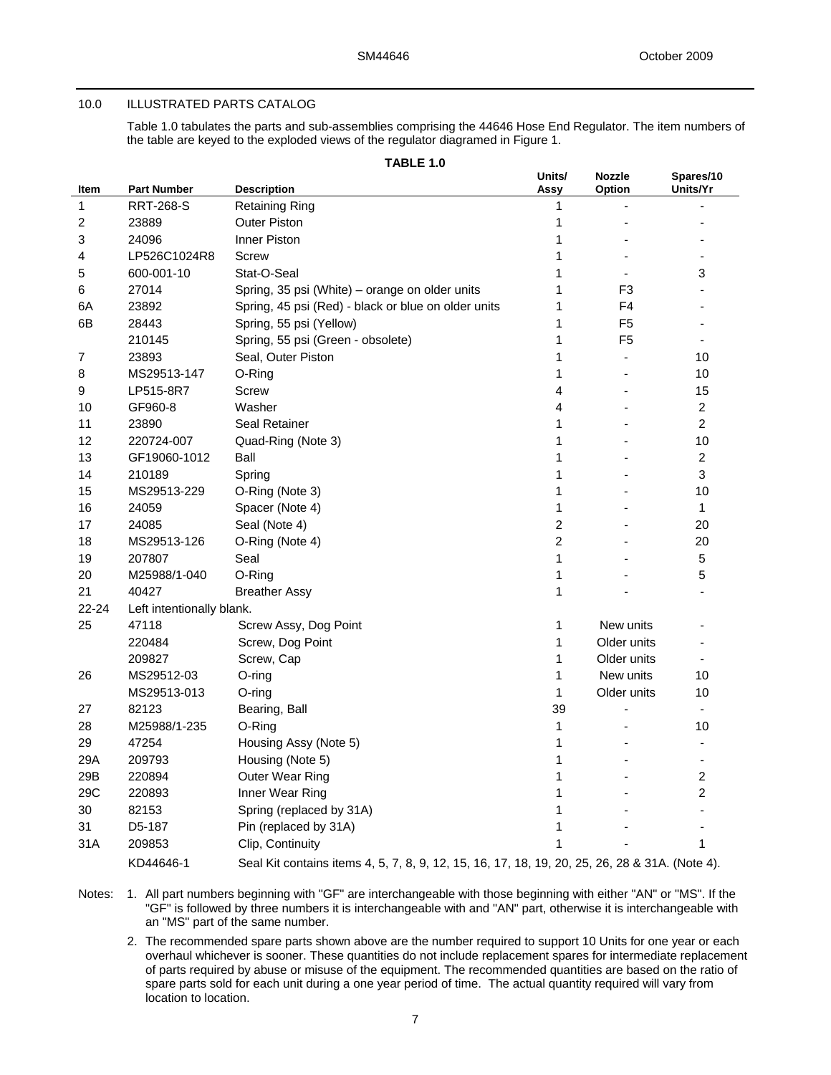#### 10.0 ILLUSTRATED PARTS CATALOG

Table 1.0 tabulates the parts and sub-assemblies comprising the 44646 Hose End Regulator. The item numbers of the table are keyed to the exploded views of the regulator diagramed in Figure 1.

**TABLE 1.0** 

|       |                           | <b>IADLE 1.0</b>                                                                               |                |                          |                       |
|-------|---------------------------|------------------------------------------------------------------------------------------------|----------------|--------------------------|-----------------------|
| Item  | <b>Part Number</b>        | <b>Description</b>                                                                             | Units/<br>Assy | <b>Nozzle</b><br>Option  | Spares/10<br>Units/Yr |
| 1     | <b>RRT-268-S</b>          | <b>Retaining Ring</b>                                                                          | 1              |                          |                       |
| 2     | 23889                     | <b>Outer Piston</b>                                                                            | 1              |                          |                       |
| 3     | 24096                     | Inner Piston                                                                                   | 1              |                          |                       |
| 4     | LP526C1024R8              | Screw                                                                                          | 1              |                          |                       |
| 5     | 600-001-10                | Stat-O-Seal                                                                                    | 1              |                          | 3                     |
| 6     | 27014                     | Spring, 35 psi (White) - orange on older units                                                 | 1              | F <sub>3</sub>           |                       |
| 6A    | 23892                     | Spring, 45 psi (Red) - black or blue on older units                                            | 1              | F <sub>4</sub>           |                       |
| 6В    | 28443                     | Spring, 55 psi (Yellow)                                                                        | 1              | F <sub>5</sub>           |                       |
|       | 210145                    | Spring, 55 psi (Green - obsolete)                                                              | 1              | F <sub>5</sub>           |                       |
| 7     | 23893                     | Seal, Outer Piston                                                                             | 1              | $\overline{\phantom{a}}$ | 10                    |
| 8     | MS29513-147               | O-Ring                                                                                         | 1              |                          | 10                    |
| 9     | LP515-8R7                 | Screw                                                                                          | 4              |                          | 15                    |
| 10    | GF960-8                   | Washer                                                                                         | 4              |                          | 2                     |
| 11    | 23890                     | Seal Retainer                                                                                  | 1              |                          | $\overline{c}$        |
| 12    | 220724-007                | Quad-Ring (Note 3)                                                                             | 1              |                          | 10                    |
| 13    | GF19060-1012              | Ball                                                                                           | 1              |                          | 2                     |
| 14    | 210189                    | Spring                                                                                         | 1              |                          | 3                     |
| 15    | MS29513-229               | O-Ring (Note 3)                                                                                | 1              |                          | 10                    |
| 16    | 24059                     | Spacer (Note 4)                                                                                | 1              |                          | $\mathbf{1}$          |
| 17    | 24085                     | Seal (Note 4)                                                                                  | $\overline{c}$ |                          | 20                    |
| 18    | MS29513-126               | O-Ring (Note 4)                                                                                | $\overline{2}$ |                          | 20                    |
| 19    | 207807                    | Seal                                                                                           | 1              |                          | 5                     |
| 20    | M25988/1-040              | O-Ring                                                                                         | 1              |                          | 5                     |
| 21    | 40427                     | <b>Breather Assy</b>                                                                           | 1              |                          |                       |
| 22-24 | Left intentionally blank. |                                                                                                |                |                          |                       |
| 25    | 47118                     | Screw Assy, Dog Point                                                                          | 1              | New units                |                       |
|       | 220484                    | Screw, Dog Point                                                                               | 1              | Older units              |                       |
|       | 209827                    | Screw, Cap                                                                                     | 1              | Older units              | $\overline{a}$        |
| 26    | MS29512-03                | O-ring                                                                                         | 1              | New units                | 10                    |
|       | MS29513-013               | O-ring                                                                                         | 1              | Older units              | 10                    |
| 27    | 82123                     | Bearing, Ball                                                                                  | 39             |                          |                       |
| 28    | M25988/1-235              | O-Ring                                                                                         | 1              |                          | 10                    |
| 29    | 47254                     | Housing Assy (Note 5)                                                                          | 1              |                          | $\blacksquare$        |
| 29A   | 209793                    | Housing (Note 5)                                                                               | 1              |                          |                       |
| 29B   | 220894                    | Outer Wear Ring                                                                                | 1              |                          | 2                     |
| 29C   | 220893                    | Inner Wear Ring                                                                                | 1              |                          | $\overline{c}$        |
| 30    | 82153                     | Spring (replaced by 31A)                                                                       | 1              |                          |                       |
| 31    | D5-187                    | Pin (replaced by 31A)                                                                          | 1              |                          |                       |
| 31A   | 209853                    | Clip, Continuity                                                                               | 1              |                          | 1                     |
|       | KD44646-1                 | Seal Kit contains items 4, 5, 7, 8, 9, 12, 15, 16, 17, 18, 19, 20, 25, 26, 28 & 31A. (Note 4). |                |                          |                       |

Notes: 1. All part numbers beginning with "GF" are interchangeable with those beginning with either "AN" or "MS". If the "GF" is followed by three numbers it is interchangeable with and "AN" part, otherwise it is interchangeable with an "MS" part of the same number.

2. The recommended spare parts shown above are the number required to support 10 Units for one year or each overhaul whichever is sooner. These quantities do not include replacement spares for intermediate replacement of parts required by abuse or misuse of the equipment. The recommended quantities are based on the ratio of spare parts sold for each unit during a one year period of time. The actual quantity required will vary from location to location.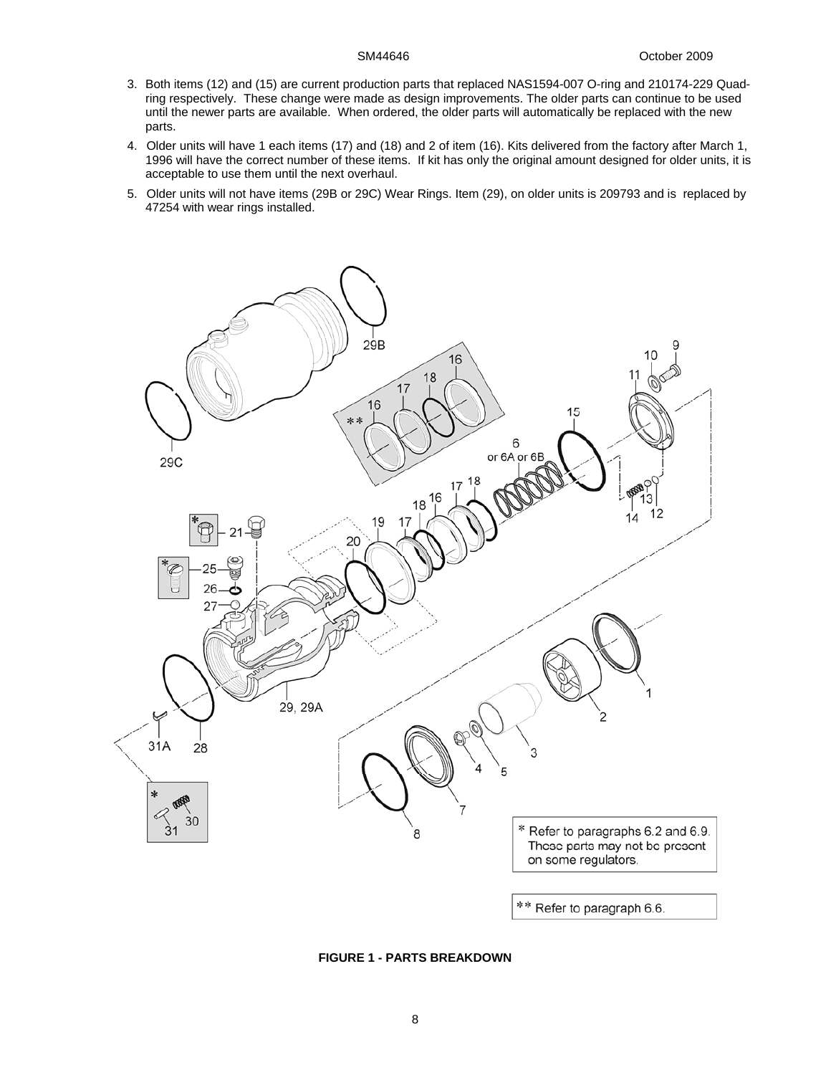- 3. Both items (12) and (15) are current production parts that replaced NAS1594-007 O-ring and 210174-229 Quadring respectively. These change were made as design improvements. The older parts can continue to be used until the newer parts are available. When ordered, the older parts will automatically be replaced with the new parts.
- 4. Older units will have 1 each items (17) and (18) and 2 of item (16). Kits delivered from the factory after March 1, 1996 will have the correct number of these items. If kit has only the original amount designed for older units, it is acceptable to use them until the next overhaul.
- 5. Older units will not have items (29B or 29C) Wear Rings. Item (29), on older units is 209793 and is replaced by 47254 with wear rings installed.



**FIGURE 1 - PARTS BREAKDOWN**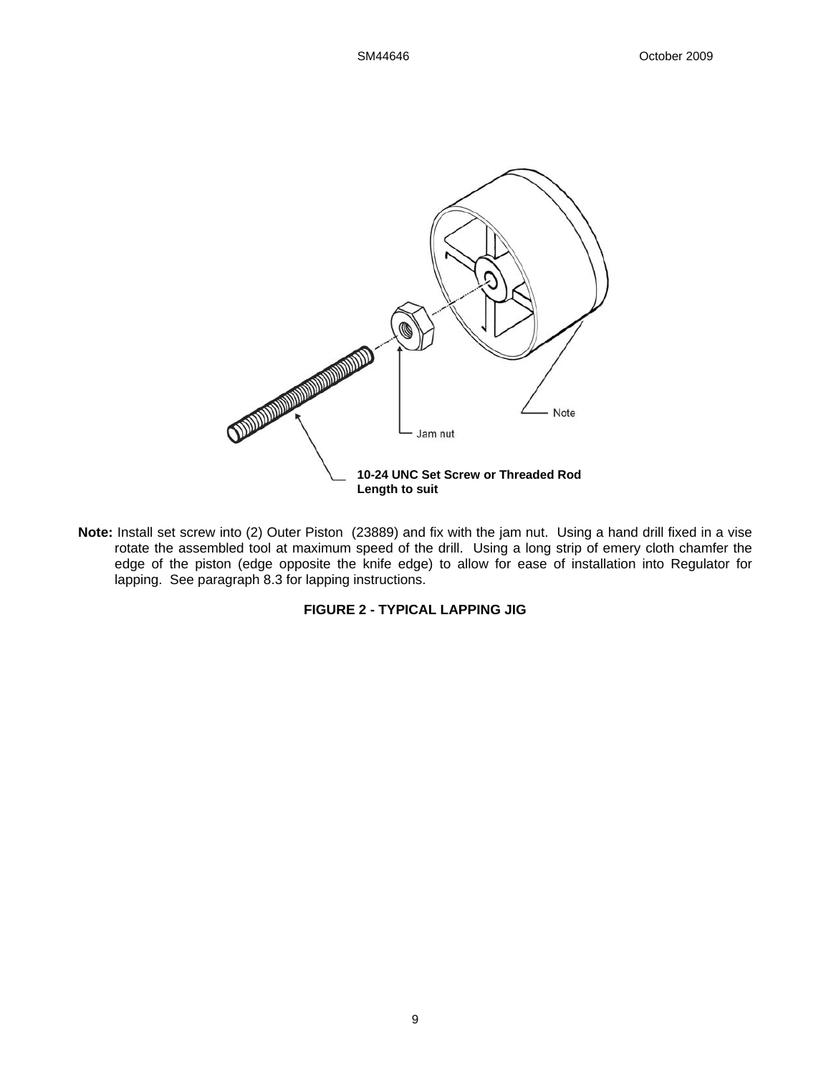

**Note:** Install set screw into (2) Outer Piston (23889) and fix with the jam nut. Using a hand drill fixed in a vise rotate the assembled tool at maximum speed of the drill. Using a long strip of emery cloth chamfer the edge of the piston (edge opposite the knife edge) to allow for ease of installation into Regulator for lapping. See paragraph 8.3 for lapping instructions.

# **FIGURE 2 - TYPICAL LAPPING JIG**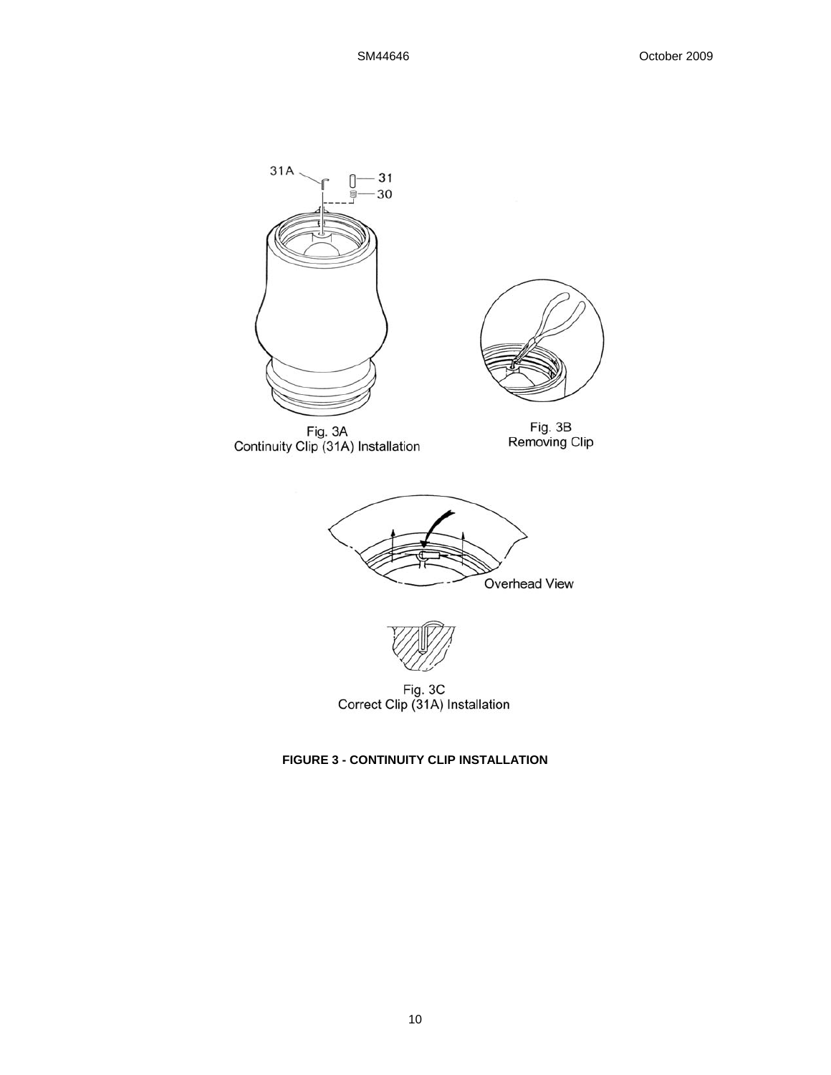

**FIGURE 3 - CONTINUITY CLIP INSTALLATION**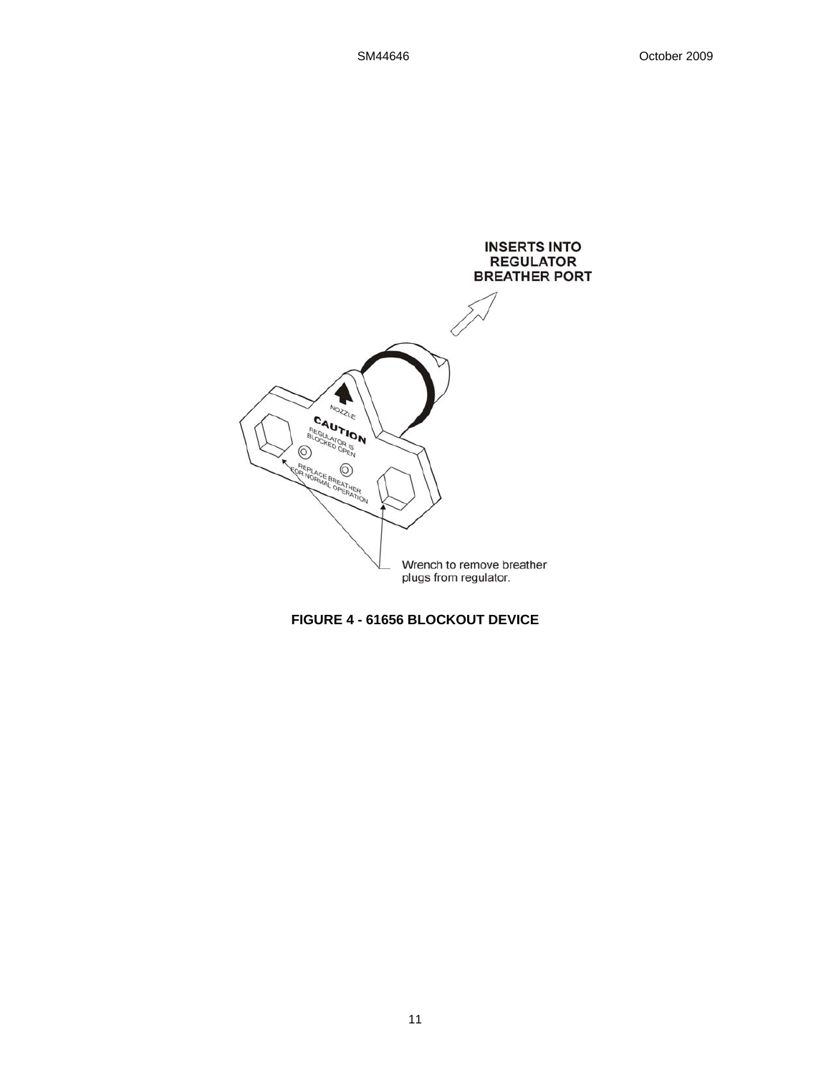

**FIGURE 4 - 61656 BLOCKOUT DEVICE**